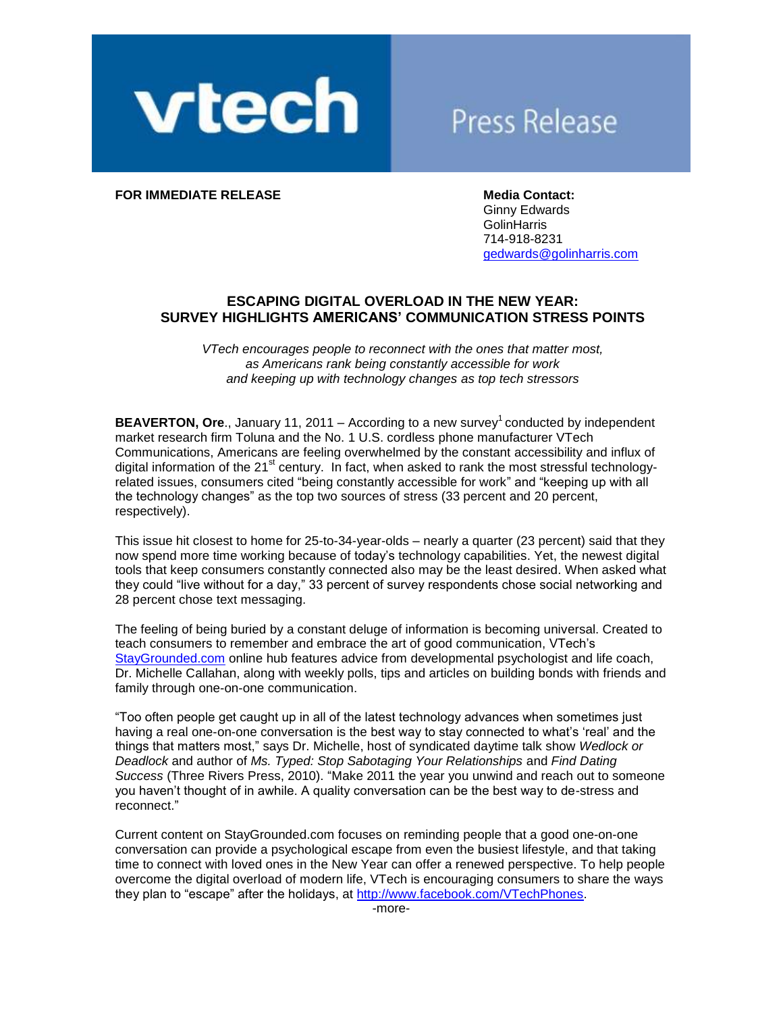

# **Press Release**

**FOR IMMEDIATE RELEASE Media Contact: Media Contact:** 

Ginny Edwards **GolinHarris** 714-918-8231 [gedwards@golinharris.com](mailto:gedwards@golinharris.com)

## **ESCAPING DIGITAL OVERLOAD IN THE NEW YEAR: SURVEY HIGHLIGHTS AMERICANS' COMMUNICATION STRESS POINTS**

*VTech encourages people to reconnect with the ones that matter most, as Americans rank being constantly accessible for work and keeping up with technology changes as top tech stressors*

**BEAVERTON, Ore., January 11, 2011 – According to a new survey<sup>1</sup> conducted by independent** market research firm Toluna and the No. 1 U.S. cordless phone manufacturer VTech Communications, Americans are feeling overwhelmed by the constant accessibility and influx of digital information of the 21 $^{\text{st}}$  century. In fact, when asked to rank the most stressful technologyrelated issues, consumers cited "being constantly accessible for work" and "keeping up with all the technology changes" as the top two sources of stress (33 percent and 20 percent, respectively).

This issue hit closest to home for 25-to-34-year-olds – nearly a quarter (23 percent) said that they now spend more time working because of today"s technology capabilities. Yet, the newest digital tools that keep consumers constantly connected also may be the least desired. When asked what they could "live without for a day," 33 percent of survey respondents chose social networking and 28 percent chose text messaging.

The feeling of being buried by a constant deluge of information is becoming universal. Created to teach consumers to remember and embrace the art of good communication, VTech"s [StayGrounded.com](http://staygrounded.com/) online hub features advice from developmental psychologist and life coach, Dr. Michelle Callahan, along with weekly polls, tips and articles on building bonds with friends and family through one-on-one communication.

"Too often people get caught up in all of the latest technology advances when sometimes just having a real one-on-one conversation is the best way to stay connected to what's 'real' and the things that matters most," says Dr. Michelle, host of syndicated daytime talk show *Wedlock or Deadlock* and author of *Ms. Typed: Stop Sabotaging Your Relationships* and *Find Dating Success* (Three Rivers Press, 2010). "Make 2011 the year you unwind and reach out to someone you haven"t thought of in awhile. A quality conversation can be the best way to de-stress and reconnect."

Current content on StayGrounded.com focuses on reminding people that a good one-on-one conversation can provide a psychological escape from even the busiest lifestyle, and that taking time to connect with loved ones in the New Year can offer a renewed perspective. To help people overcome the digital overload of modern life, VTech is encouraging consumers to share the ways they plan to "escape" after the holidays, at [http://www.facebook.com/VTechPhones.](http://www.facebook.com/VTechPhones)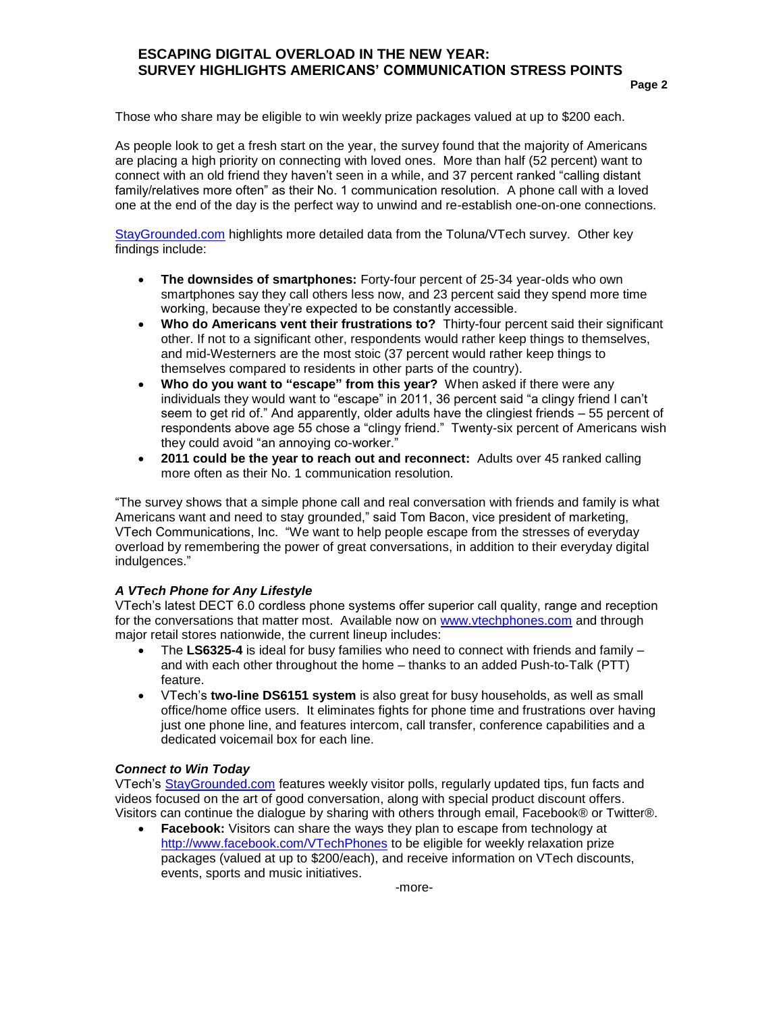## **ESCAPING DIGITAL OVERLOAD IN THE NEW YEAR: SURVEY HIGHLIGHTS AMERICANS' COMMUNICATION STRESS POINTS**

Those who share may be eligible to win weekly prize packages valued at up to \$200 each.

As people look to get a fresh start on the year, the survey found that the majority of Americans are placing a high priority on connecting with loved ones. More than half (52 percent) want to connect with an old friend they haven"t seen in a while, and 37 percent ranked "calling distant family/relatives more often" as their No. 1 communication resolution. A phone call with a loved one at the end of the day is the perfect way to unwind and re-establish one-on-one connections.

[StayGrounded.com](http://staygrounded.com/) highlights more detailed data from the Toluna/VTech survey. Other key findings include:

- **The downsides of smartphones:** Forty-four percent of 25-34 year-olds who own smartphones say they call others less now, and 23 percent said they spend more time working, because they"re expected to be constantly accessible.
- **Who do Americans vent their frustrations to?** Thirty-four percent said their significant other. If not to a significant other, respondents would rather keep things to themselves, and mid-Westerners are the most stoic (37 percent would rather keep things to themselves compared to residents in other parts of the country).
- **Who do you want to "escape" from this year?** When asked if there were any individuals they would want to "escape" in 2011, 36 percent said "a clingy friend I can"t seem to get rid of." And apparently, older adults have the clingiest friends – 55 percent of respondents above age 55 chose a "clingy friend." Twenty-six percent of Americans wish they could avoid "an annoying co-worker."
- **2011 could be the year to reach out and reconnect:** Adults over 45 ranked calling more often as their No. 1 communication resolution.

"The survey shows that a simple phone call and real conversation with friends and family is what Americans want and need to stay grounded," said Tom Bacon, vice president of marketing, VTech Communications, Inc. "We want to help people escape from the stresses of everyday overload by remembering the power of great conversations, in addition to their everyday digital indulgences."

### *A VTech Phone for Any Lifestyle*

VTech"s latest DECT 6.0 cordless phone systems offer superior call quality, range and reception for the conversations that matter most. Available now on [www.vtechphones.com](http://www.vtechphones.com/) and through major retail stores nationwide, the current lineup includes:

- The **LS6325-4** is ideal for busy families who need to connect with friends and family and with each other throughout the home – thanks to an added Push-to-Talk (PTT) feature.
- VTech"s **two-line DS6151 system** is also great for busy households, as well as small office/home office users. It eliminates fights for phone time and frustrations over having just one phone line, and features intercom, call transfer, conference capabilities and a dedicated voicemail box for each line.

### *Connect to Win Today*

VTech"s [StayGrounded.com](http://staygrounded.com/) features weekly visitor polls, regularly updated tips, fun facts and videos focused on the art of good conversation, along with special product discount offers. Visitors can continue the dialogue by sharing with others through email, Facebook® or Twitter®.

 **Facebook:** Visitors can share the ways they plan to escape from technology at [http://www.facebook.com/VTechPhones](http://www.facebook.com/VtechPhones) to be eligible for weekly relaxation prize packages (valued at up to \$200/each), and receive information on VTech discounts, events, sports and music initiatives.

-more-